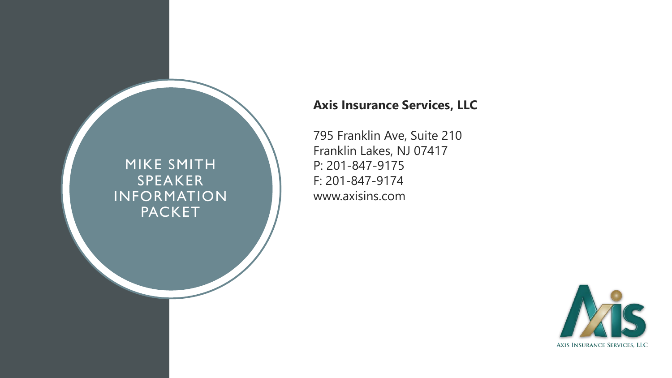### MIKE SMITH SPEAKER INFORMATION **PACKET**

### **Axis Insurance Services, LLC**

795 Franklin Ave, Suite 210 Franklin Lakes, NJ 07417 P: 201-847-9175 F: 201-847-9174 www.axisins.com

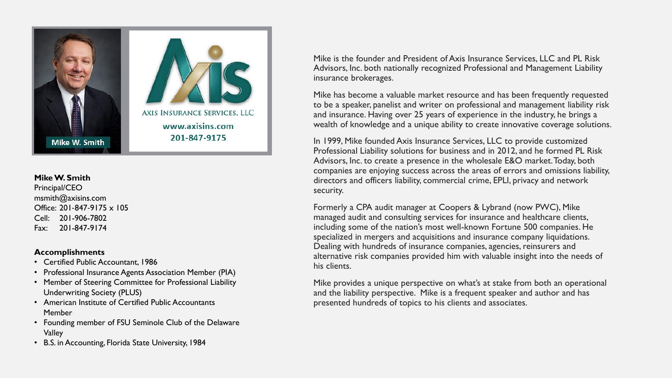

#### **Mike W. Smith** Principal/CEO msmith@axisins.com Office: 201‐847‐9175 x 105 Cell: 201-906-7802 Fax: 201-847-9174

#### **Accomplishments**

- Certified Public Accountant, 1986
- Professional Insurance Agents Association Member (PIA)
- Member of Steering Committee for Professional Liability Underwriting Society (PLUS)
- American Institute of Certified Public Accountants Member
- Founding member of FSU Seminole Club of the Delaware Valley
- B.S. in Accounting, Florida State University, 1984

Mike is the founder and President of Axis Insurance Services, LLC and PL Risk Advisors, Inc. both nationally recognized Professional and Management Liability insurance brokerages.

Mike has become a valuable market resource and has been frequently requested to be a speaker, panelist and writer on professional and management liability risk and insurance. Having over 25 years of experience in the industry, he brings a wealth of knowledge and a unique ability to create innovative coverage solutions.

In 1999, Mike founded Axis Insurance Services, LLC to provide customized Professional Liability solutions for business and in 2012, and he formed PL Risk Advisors, Inc. to create a presence in the wholesale E&O market. Today, both companies are enjoying success across the areas of errors and omissions liability, directors and officers liability, commercial crime, EPLI, privacy and network security.

Formerly a CPA audit manager at Coopers & Lybrand (now PWC), Mike managed audit and consulting services for insurance and healthcare clients, including some of the nation's most well-known Fortune 500 companies. He specialized in mergers and acquisitions and insurance company liquidations. Dealing with hundreds of insurance companies, agencies, reinsurers and alternative risk companies provided him with valuable insight into the needs of his clients.

Mike provides a unique perspective on what's at stake from both an operational and the liability perspective. Mike is a frequent speaker and author and has presented hundreds of topics to his clients and associates.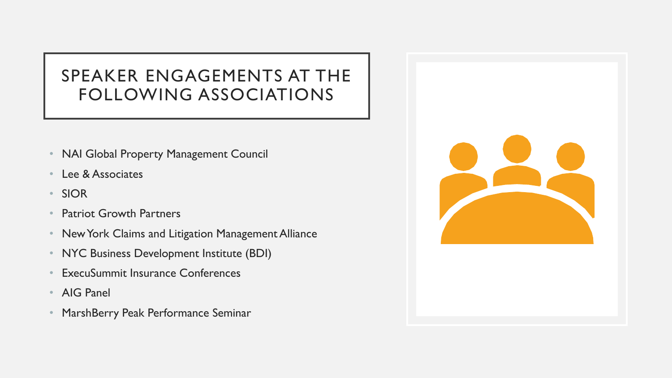## SPEAKER ENGAGEMENTS AT THE FOLLOWING ASSOCIATIONS

- NAI Global Property Management Council
- Lee & Associates
- SIOR
- Patriot Growth Partners
- New York Claims and Litigation Management Alliance
- NYC Business Development Institute (BDI)
- **ExecuSummit Insurance Conferences**
- AIG Panel
- MarshBerry Peak Performance Seminar

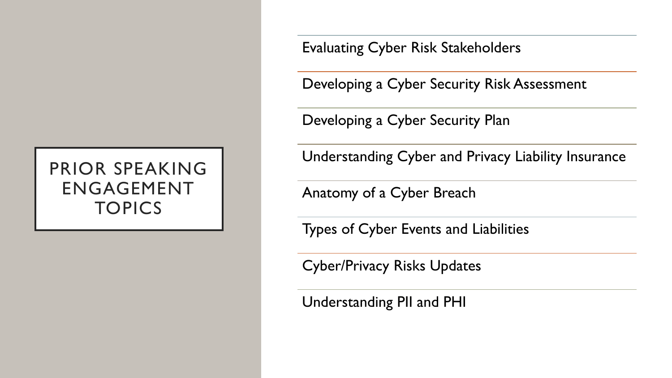## PRIOR SPEAKING ENGAGEMENT **TOPICS**

Evaluating Cyber Risk Stakeholders

Developing a Cyber Security Risk Assessment

Developing a Cyber Security Plan

Understanding Cyber and Privacy Liability Insurance

Anatomy of a Cyber Breach

Types of Cyber Events and Liabilities

Cyber/Privacy Risks Updates

Understanding PII and PHI